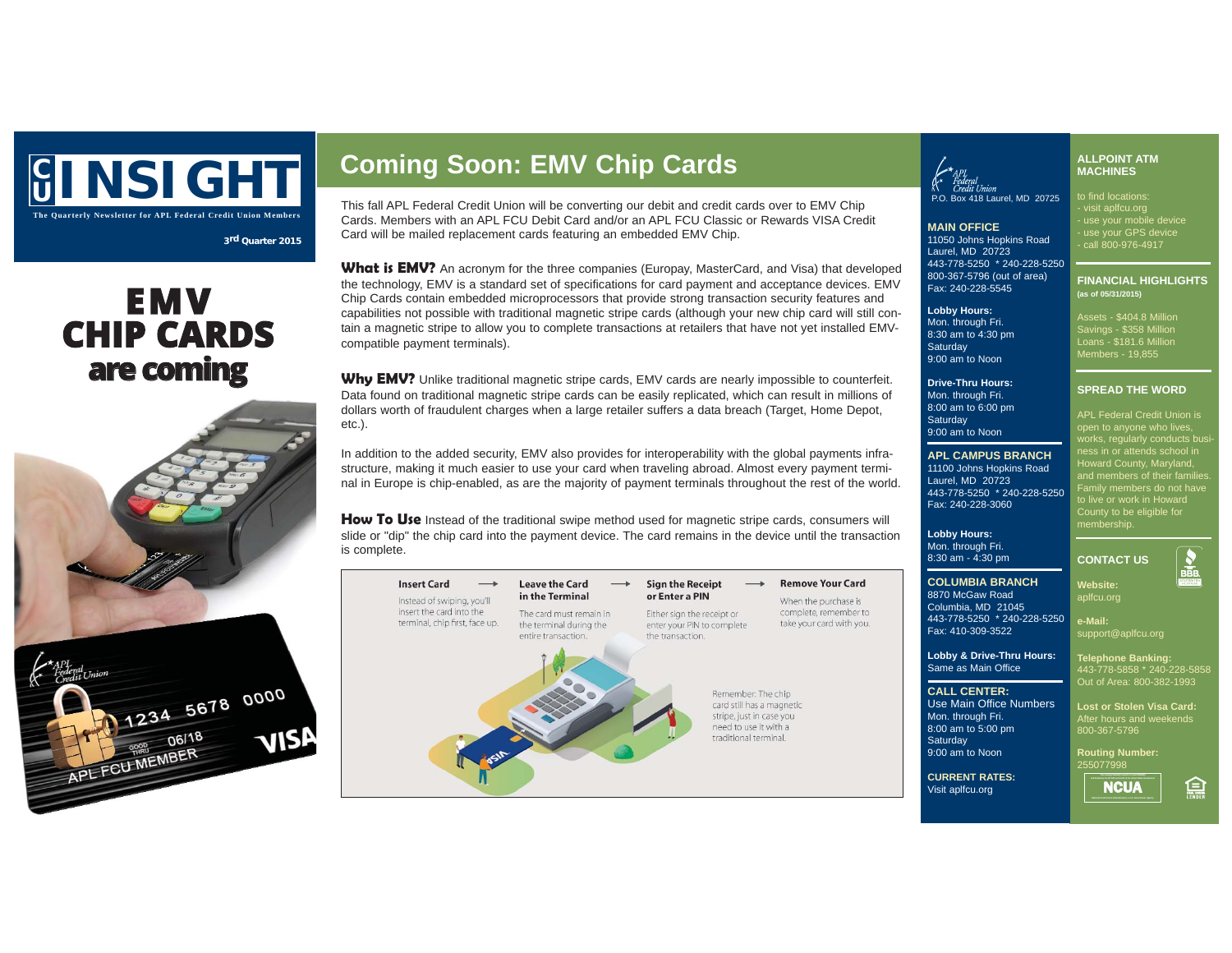# **C <sup>U</sup> INSIGHT Coming Soon: EMV Chip Cards** This fall APL Federal Credit Union will be converting our debit and credit cards over to EMV Chip

**The Quarterly Newsletter for APL Federal Credit Union Members**

## **<sup>3</sup>rd Quarter 2015**

## **E M V CHIP CARDS a re co min g**

1234 5678 0000

visi

06/18

APL FCU MEMBER

Cards. Members with an APL FCU Debit Card and/or an APL FCU Classic or Rewards VISA Credit Card will be mailed replacement cards featuring an embedded EMV Chip.

What is **EMV?** An acronym for the three companies (Europay, MasterCard, and Visa) that developed the technology, EMV is a standard set of specifications for card payment and acceptance devices. EMV Chip Cards contain embedded microprocessors that provide strong transaction security features and capabilities not possible with traditional magnetic stripe cards (although your new chip card will still contain a magnetic stripe to allow you to complete transactions at retailers that have not yet installed EMVcompatible payment terminals).

Why EMV? Unlike traditional magnetic stripe cards, EMV cards are nearly impossible to counterfeit. Data found on traditional magnetic stripe cards can be easily replicated, which can result in millions of dollars worth of fraudulent charges when a large retailer suffers a data breach (Target, Home Depot, etc.).

In addition to the added security, EMV also provides for interoperability with the global payments infrastructure, making it much easier to use your card when traveling abroad. Almost every payment terminal in Europe is chip-enabled, as are the majority of payment terminals throughout the rest of the world.

**How To Use** Instead of the traditional swipe method used for magnetic stripe cards, consumers will slide or "dip" the chip card into the payment device. The card remains in the device until the transaction is complete.



**Lobby Hours:**  Mon. through Fri. 8:30 am to 4:30 pm **Saturday** 9:00 am to Noon

9:00 am to Noon

Laurel, MD 20723

Fax: 240-228-3060

to find locations: - visit aplfcu.org - use your mobile device - use your GPS device P.O. Box 418 Laurel, MD 20725

**MAIN OFFICE** 11050 Johns Hopkins Road Laurel, MD 20723 443-778-5250 \* 240-228-5250 800-367-5796 (out of area) Fax: 240-228-5545

> Assets - \$404.8 Million Savings - \$358 Million Loans - \$181.6 Million Members - 19,855

**(as of 05/31/2015)**

**ALLPOINT ATM MACHINES**

- call 800-976-4917

**FINANCIAL HIGHLIGHTS** 

**Drive-Thru Hours:** Mon. through Fri. 8:00 am to 6:00 pm **Saturday SPREAD THE WORD** APL Federal Credit Union is

**APL CAMPUS BRANCH** 11100 Johns Hopkins Road 443-778-5250 \* 240-228-5250 works, regularly conducts bi ness in or attends school in Howard County, Maryland, and members of their families. Family members do not have to live or work in Howard County to be eligible for membership.

**Lobby Hours:** Mon. through Fri. 8:30 am - 4:30 pm

**COLUMBIA BRANCH** 8870 McGaw Road Columbia, MD 21045

Fax: 410-309-3522

Same as Main Office **CALL CENTER:**

Mon. through Fri. 8:00 am to 5:00 pm **Saturday** 9:00 am to Noon

## 443-778-5250 \* 240-228-5250 **Lobby & Drive-Thru Hours:** Use Main Office Numbers **CONTACT US Website:** aplfcu.org **e-Mail:** support@aplfcu.org **Telephone Banking:** 443-778-5858 \* 240-228-5858

After hours and weekends 800-367-5796

**Routing Number:** 255077998

**CURRENT RATES:** Visit aplfcu.org



臝

Out of Area: 800-382-1993

**Lost or Stolen Visa Card:**